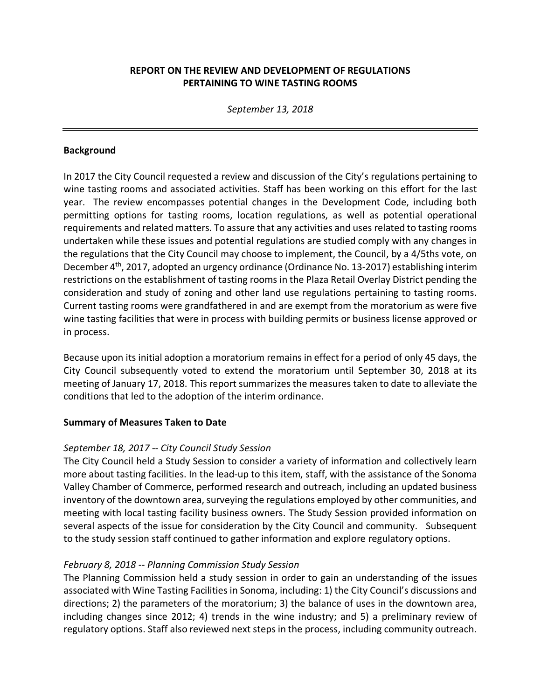# **REPORT ON THE REVIEW AND DEVELOPMENT OF REGULATIONS PERTAINING TO WINE TASTING ROOMS**

*September 13, 2018*

#### **Background**

In 2017 the City Council requested a review and discussion of the City's regulations pertaining to wine tasting rooms and associated activities. Staff has been working on this effort for the last year. The review encompasses potential changes in the Development Code, including both permitting options for tasting rooms, location regulations, as well as potential operational requirements and related matters. To assure that any activities and uses related to tasting rooms undertaken while these issues and potential regulations are studied comply with any changes in the regulations that the City Council may choose to implement, the Council, by a 4/5ths vote, on December 4<sup>th</sup>, 2017, adopted an urgency ordinance (Ordinance No. 13-2017) establishing interim restrictions on the establishment of tasting rooms in the Plaza Retail Overlay District pending the consideration and study of zoning and other land use regulations pertaining to tasting rooms. Current tasting rooms were grandfathered in and are exempt from the moratorium as were five wine tasting facilities that were in process with building permits or business license approved or in process.

Because upon its initial adoption a moratorium remains in effect for a period of only 45 days, the City Council subsequently voted to extend the moratorium until September 30, 2018 at its meeting of January 17, 2018. This report summarizes the measures taken to date to alleviate the conditions that led to the adoption of the interim ordinance.

### **Summary of Measures Taken to Date**

### *September 18, 2017 -- City Council Study Session*

The City Council held a Study Session to consider a variety of information and collectively learn more about tasting facilities. In the lead-up to this item, staff, with the assistance of the Sonoma Valley Chamber of Commerce, performed research and outreach, including an updated business inventory of the downtown area, surveying the regulations employed by other communities, and meeting with local tasting facility business owners. The Study Session provided information on several aspects of the issue for consideration by the City Council and community. Subsequent to the study session staff continued to gather information and explore regulatory options.

### *February 8, 2018 -- Planning Commission Study Session*

The Planning Commission held a study session in order to gain an understanding of the issues associated with Wine Tasting Facilities in Sonoma, including: 1) the City Council's discussions and directions; 2) the parameters of the moratorium; 3) the balance of uses in the downtown area, including changes since 2012; 4) trends in the wine industry; and 5) a preliminary review of regulatory options. Staff also reviewed next steps in the process, including community outreach.